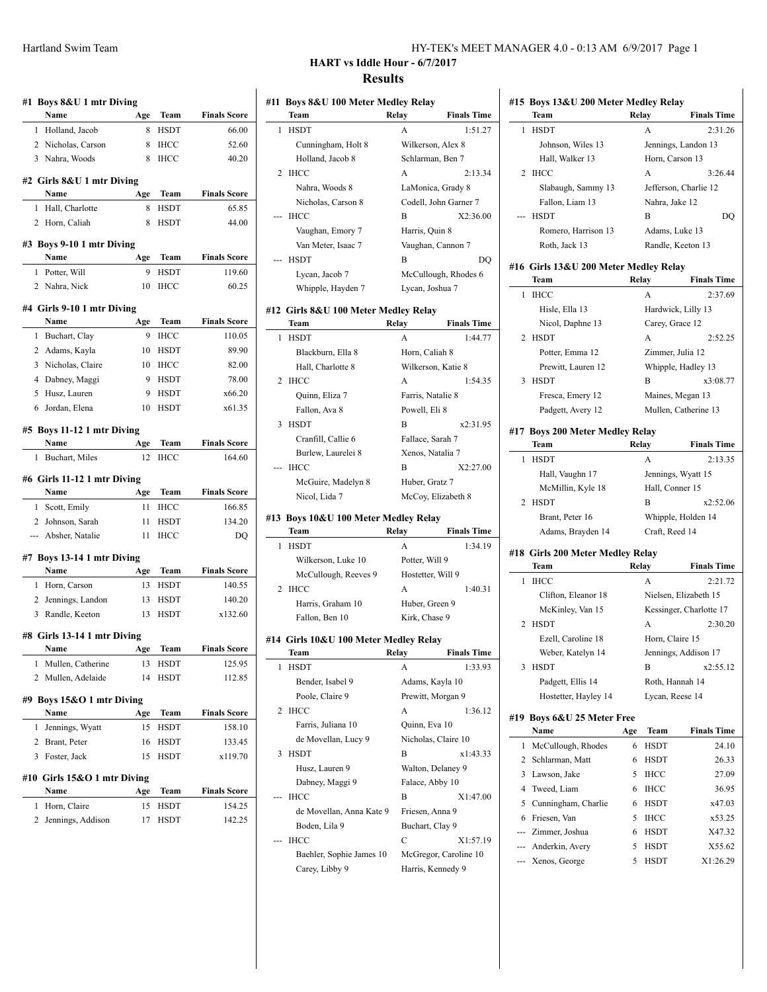| <b>Finals Score</b><br>Name<br>Age<br>Team<br>HSDT<br>$\mathbf{1}$<br>Holland, Jacob<br>8<br>66.00<br>2 Nicholas, Carson<br>8<br>IHCC<br>52.60<br>3 Nahra, Woods<br><b>IHCC</b><br>40.20<br>8<br><b>Finals Score</b><br>Name<br>Team<br>Age<br>Hall, Charlotte<br><b>HSDT</b><br>65.85<br>8<br>1.<br>Horn, Caliah<br><b>HSDT</b><br>44.00<br>$\overline{2}$<br>8<br>Name<br>Age<br>Team<br><b>Finals Score</b><br>Potter, Will<br>9<br><b>HSDT</b><br>$\mathbf{1}$<br>119.60<br>2 Nahra, Nick<br>60.25<br>10<br>IHCC<br>Name<br>Team<br><b>Finals Score</b><br>Age<br>9<br><b>IHCC</b><br>110.05<br>1<br>Buchart, Clay<br>2 Adams, Kayla<br><b>HSDT</b><br>89.90<br>10<br>3 Nicholas, Claire<br>10<br><b>IHCC</b><br>82.00<br>4 Dabney, Maggi<br>9<br><b>HSDT</b><br>78.00<br>5<br>x66.20<br>Husz, Lauren<br>9<br><b>HSDT</b><br><b>HSDT</b><br>x61.35<br>6 Jordan, Elena<br>10<br>Name<br>Team<br><b>Finals Score</b><br>Age<br>12<br><b>IHCC</b><br>Buchart, Miles<br>164.60<br>1<br>Name<br><b>Finals Score</b><br>Age<br>Team<br>Scott, Emily<br>11<br><b>IHCC</b><br>1<br>166.85<br>Johnson, Sarah<br>11<br><b>HSDT</b><br>134.20<br>$\overline{2}$<br>--- Absher, Natalie<br>11<br><b>IHCC</b><br>DQ<br>Name<br>Team<br><b>Finals Score</b><br>Age<br>Horn, Carson<br><b>HSDT</b><br>140.55<br>1<br>13<br><b>HSDT</b><br>140.20<br>2 Jennings, Landon<br>13<br>3 Randle, Keeton<br><b>HSDT</b><br>x132.60<br>13<br><b>Team</b><br><b>Finals Score</b><br>Age<br>Name<br>1<br>Mullen, Catherine<br>13<br>HSDT<br>125.95<br>Mullen, Adelaide<br>2<br>14<br>HSDT<br>112.85<br>Name<br><b>Finals Score</b><br>Age<br>Team<br>1<br>Jennings, Wyatt<br>15<br><b>HSDT</b><br>158.10<br>2<br>Brant, Peter<br>16<br>HSDT<br>133.45<br>Foster, Jack<br>3<br>15<br><b>HSDT</b><br>x119.70<br>Name<br><b>Finals Score</b><br>Age<br>Team<br>1<br>Horn, Claire<br>15<br>HSDT<br>154.25 | #1 Boys 8&U 1 mtr Diving<br>#2 Girls 8&U 1 mtr Diving<br>#3 Boys 9-10 1 mtr Diving<br>#4 Girls 9-10 1 mtr Diving<br>#5 Boys 11-12 1 mtr Diving<br>#6 Girls 11-12 1 mtr Diving<br>#7 Boys 13-14 1 mtr Diving<br>#8 Girls 13-14 1 mtr Diving<br>#9 Boys 15&O 1 mtr Diving<br>#10 Girls 15&O 1 mtr Diving<br>2<br>Jennings, Addison<br>17<br>HSDT<br>142.25 |  |  |  |
|---------------------------------------------------------------------------------------------------------------------------------------------------------------------------------------------------------------------------------------------------------------------------------------------------------------------------------------------------------------------------------------------------------------------------------------------------------------------------------------------------------------------------------------------------------------------------------------------------------------------------------------------------------------------------------------------------------------------------------------------------------------------------------------------------------------------------------------------------------------------------------------------------------------------------------------------------------------------------------------------------------------------------------------------------------------------------------------------------------------------------------------------------------------------------------------------------------------------------------------------------------------------------------------------------------------------------------------------------------------------------------------------------------------------------------------------------------------------------------------------------------------------------------------------------------------------------------------------------------------------------------------------------------------------------------------------------------------------------------------------------------------------------------------------------------------------------------------------------------------------------------|----------------------------------------------------------------------------------------------------------------------------------------------------------------------------------------------------------------------------------------------------------------------------------------------------------------------------------------------------------|--|--|--|
|                                                                                                                                                                                                                                                                                                                                                                                                                                                                                                                                                                                                                                                                                                                                                                                                                                                                                                                                                                                                                                                                                                                                                                                                                                                                                                                                                                                                                                                                                                                                                                                                                                                                                                                                                                                                                                                                                 |                                                                                                                                                                                                                                                                                                                                                          |  |  |  |
|                                                                                                                                                                                                                                                                                                                                                                                                                                                                                                                                                                                                                                                                                                                                                                                                                                                                                                                                                                                                                                                                                                                                                                                                                                                                                                                                                                                                                                                                                                                                                                                                                                                                                                                                                                                                                                                                                 |                                                                                                                                                                                                                                                                                                                                                          |  |  |  |
|                                                                                                                                                                                                                                                                                                                                                                                                                                                                                                                                                                                                                                                                                                                                                                                                                                                                                                                                                                                                                                                                                                                                                                                                                                                                                                                                                                                                                                                                                                                                                                                                                                                                                                                                                                                                                                                                                 |                                                                                                                                                                                                                                                                                                                                                          |  |  |  |
|                                                                                                                                                                                                                                                                                                                                                                                                                                                                                                                                                                                                                                                                                                                                                                                                                                                                                                                                                                                                                                                                                                                                                                                                                                                                                                                                                                                                                                                                                                                                                                                                                                                                                                                                                                                                                                                                                 |                                                                                                                                                                                                                                                                                                                                                          |  |  |  |
|                                                                                                                                                                                                                                                                                                                                                                                                                                                                                                                                                                                                                                                                                                                                                                                                                                                                                                                                                                                                                                                                                                                                                                                                                                                                                                                                                                                                                                                                                                                                                                                                                                                                                                                                                                                                                                                                                 |                                                                                                                                                                                                                                                                                                                                                          |  |  |  |
|                                                                                                                                                                                                                                                                                                                                                                                                                                                                                                                                                                                                                                                                                                                                                                                                                                                                                                                                                                                                                                                                                                                                                                                                                                                                                                                                                                                                                                                                                                                                                                                                                                                                                                                                                                                                                                                                                 |                                                                                                                                                                                                                                                                                                                                                          |  |  |  |
|                                                                                                                                                                                                                                                                                                                                                                                                                                                                                                                                                                                                                                                                                                                                                                                                                                                                                                                                                                                                                                                                                                                                                                                                                                                                                                                                                                                                                                                                                                                                                                                                                                                                                                                                                                                                                                                                                 |                                                                                                                                                                                                                                                                                                                                                          |  |  |  |
|                                                                                                                                                                                                                                                                                                                                                                                                                                                                                                                                                                                                                                                                                                                                                                                                                                                                                                                                                                                                                                                                                                                                                                                                                                                                                                                                                                                                                                                                                                                                                                                                                                                                                                                                                                                                                                                                                 |                                                                                                                                                                                                                                                                                                                                                          |  |  |  |
|                                                                                                                                                                                                                                                                                                                                                                                                                                                                                                                                                                                                                                                                                                                                                                                                                                                                                                                                                                                                                                                                                                                                                                                                                                                                                                                                                                                                                                                                                                                                                                                                                                                                                                                                                                                                                                                                                 |                                                                                                                                                                                                                                                                                                                                                          |  |  |  |
|                                                                                                                                                                                                                                                                                                                                                                                                                                                                                                                                                                                                                                                                                                                                                                                                                                                                                                                                                                                                                                                                                                                                                                                                                                                                                                                                                                                                                                                                                                                                                                                                                                                                                                                                                                                                                                                                                 |                                                                                                                                                                                                                                                                                                                                                          |  |  |  |
|                                                                                                                                                                                                                                                                                                                                                                                                                                                                                                                                                                                                                                                                                                                                                                                                                                                                                                                                                                                                                                                                                                                                                                                                                                                                                                                                                                                                                                                                                                                                                                                                                                                                                                                                                                                                                                                                                 |                                                                                                                                                                                                                                                                                                                                                          |  |  |  |
|                                                                                                                                                                                                                                                                                                                                                                                                                                                                                                                                                                                                                                                                                                                                                                                                                                                                                                                                                                                                                                                                                                                                                                                                                                                                                                                                                                                                                                                                                                                                                                                                                                                                                                                                                                                                                                                                                 |                                                                                                                                                                                                                                                                                                                                                          |  |  |  |
|                                                                                                                                                                                                                                                                                                                                                                                                                                                                                                                                                                                                                                                                                                                                                                                                                                                                                                                                                                                                                                                                                                                                                                                                                                                                                                                                                                                                                                                                                                                                                                                                                                                                                                                                                                                                                                                                                 |                                                                                                                                                                                                                                                                                                                                                          |  |  |  |
|                                                                                                                                                                                                                                                                                                                                                                                                                                                                                                                                                                                                                                                                                                                                                                                                                                                                                                                                                                                                                                                                                                                                                                                                                                                                                                                                                                                                                                                                                                                                                                                                                                                                                                                                                                                                                                                                                 |                                                                                                                                                                                                                                                                                                                                                          |  |  |  |
|                                                                                                                                                                                                                                                                                                                                                                                                                                                                                                                                                                                                                                                                                                                                                                                                                                                                                                                                                                                                                                                                                                                                                                                                                                                                                                                                                                                                                                                                                                                                                                                                                                                                                                                                                                                                                                                                                 |                                                                                                                                                                                                                                                                                                                                                          |  |  |  |
|                                                                                                                                                                                                                                                                                                                                                                                                                                                                                                                                                                                                                                                                                                                                                                                                                                                                                                                                                                                                                                                                                                                                                                                                                                                                                                                                                                                                                                                                                                                                                                                                                                                                                                                                                                                                                                                                                 |                                                                                                                                                                                                                                                                                                                                                          |  |  |  |
|                                                                                                                                                                                                                                                                                                                                                                                                                                                                                                                                                                                                                                                                                                                                                                                                                                                                                                                                                                                                                                                                                                                                                                                                                                                                                                                                                                                                                                                                                                                                                                                                                                                                                                                                                                                                                                                                                 |                                                                                                                                                                                                                                                                                                                                                          |  |  |  |
|                                                                                                                                                                                                                                                                                                                                                                                                                                                                                                                                                                                                                                                                                                                                                                                                                                                                                                                                                                                                                                                                                                                                                                                                                                                                                                                                                                                                                                                                                                                                                                                                                                                                                                                                                                                                                                                                                 |                                                                                                                                                                                                                                                                                                                                                          |  |  |  |
|                                                                                                                                                                                                                                                                                                                                                                                                                                                                                                                                                                                                                                                                                                                                                                                                                                                                                                                                                                                                                                                                                                                                                                                                                                                                                                                                                                                                                                                                                                                                                                                                                                                                                                                                                                                                                                                                                 |                                                                                                                                                                                                                                                                                                                                                          |  |  |  |
|                                                                                                                                                                                                                                                                                                                                                                                                                                                                                                                                                                                                                                                                                                                                                                                                                                                                                                                                                                                                                                                                                                                                                                                                                                                                                                                                                                                                                                                                                                                                                                                                                                                                                                                                                                                                                                                                                 |                                                                                                                                                                                                                                                                                                                                                          |  |  |  |
|                                                                                                                                                                                                                                                                                                                                                                                                                                                                                                                                                                                                                                                                                                                                                                                                                                                                                                                                                                                                                                                                                                                                                                                                                                                                                                                                                                                                                                                                                                                                                                                                                                                                                                                                                                                                                                                                                 |                                                                                                                                                                                                                                                                                                                                                          |  |  |  |
|                                                                                                                                                                                                                                                                                                                                                                                                                                                                                                                                                                                                                                                                                                                                                                                                                                                                                                                                                                                                                                                                                                                                                                                                                                                                                                                                                                                                                                                                                                                                                                                                                                                                                                                                                                                                                                                                                 |                                                                                                                                                                                                                                                                                                                                                          |  |  |  |
|                                                                                                                                                                                                                                                                                                                                                                                                                                                                                                                                                                                                                                                                                                                                                                                                                                                                                                                                                                                                                                                                                                                                                                                                                                                                                                                                                                                                                                                                                                                                                                                                                                                                                                                                                                                                                                                                                 |                                                                                                                                                                                                                                                                                                                                                          |  |  |  |
|                                                                                                                                                                                                                                                                                                                                                                                                                                                                                                                                                                                                                                                                                                                                                                                                                                                                                                                                                                                                                                                                                                                                                                                                                                                                                                                                                                                                                                                                                                                                                                                                                                                                                                                                                                                                                                                                                 |                                                                                                                                                                                                                                                                                                                                                          |  |  |  |
|                                                                                                                                                                                                                                                                                                                                                                                                                                                                                                                                                                                                                                                                                                                                                                                                                                                                                                                                                                                                                                                                                                                                                                                                                                                                                                                                                                                                                                                                                                                                                                                                                                                                                                                                                                                                                                                                                 |                                                                                                                                                                                                                                                                                                                                                          |  |  |  |
|                                                                                                                                                                                                                                                                                                                                                                                                                                                                                                                                                                                                                                                                                                                                                                                                                                                                                                                                                                                                                                                                                                                                                                                                                                                                                                                                                                                                                                                                                                                                                                                                                                                                                                                                                                                                                                                                                 |                                                                                                                                                                                                                                                                                                                                                          |  |  |  |
|                                                                                                                                                                                                                                                                                                                                                                                                                                                                                                                                                                                                                                                                                                                                                                                                                                                                                                                                                                                                                                                                                                                                                                                                                                                                                                                                                                                                                                                                                                                                                                                                                                                                                                                                                                                                                                                                                 |                                                                                                                                                                                                                                                                                                                                                          |  |  |  |
|                                                                                                                                                                                                                                                                                                                                                                                                                                                                                                                                                                                                                                                                                                                                                                                                                                                                                                                                                                                                                                                                                                                                                                                                                                                                                                                                                                                                                                                                                                                                                                                                                                                                                                                                                                                                                                                                                 |                                                                                                                                                                                                                                                                                                                                                          |  |  |  |
|                                                                                                                                                                                                                                                                                                                                                                                                                                                                                                                                                                                                                                                                                                                                                                                                                                                                                                                                                                                                                                                                                                                                                                                                                                                                                                                                                                                                                                                                                                                                                                                                                                                                                                                                                                                                                                                                                 |                                                                                                                                                                                                                                                                                                                                                          |  |  |  |
|                                                                                                                                                                                                                                                                                                                                                                                                                                                                                                                                                                                                                                                                                                                                                                                                                                                                                                                                                                                                                                                                                                                                                                                                                                                                                                                                                                                                                                                                                                                                                                                                                                                                                                                                                                                                                                                                                 |                                                                                                                                                                                                                                                                                                                                                          |  |  |  |
|                                                                                                                                                                                                                                                                                                                                                                                                                                                                                                                                                                                                                                                                                                                                                                                                                                                                                                                                                                                                                                                                                                                                                                                                                                                                                                                                                                                                                                                                                                                                                                                                                                                                                                                                                                                                                                                                                 |                                                                                                                                                                                                                                                                                                                                                          |  |  |  |
|                                                                                                                                                                                                                                                                                                                                                                                                                                                                                                                                                                                                                                                                                                                                                                                                                                                                                                                                                                                                                                                                                                                                                                                                                                                                                                                                                                                                                                                                                                                                                                                                                                                                                                                                                                                                                                                                                 |                                                                                                                                                                                                                                                                                                                                                          |  |  |  |
|                                                                                                                                                                                                                                                                                                                                                                                                                                                                                                                                                                                                                                                                                                                                                                                                                                                                                                                                                                                                                                                                                                                                                                                                                                                                                                                                                                                                                                                                                                                                                                                                                                                                                                                                                                                                                                                                                 |                                                                                                                                                                                                                                                                                                                                                          |  |  |  |
|                                                                                                                                                                                                                                                                                                                                                                                                                                                                                                                                                                                                                                                                                                                                                                                                                                                                                                                                                                                                                                                                                                                                                                                                                                                                                                                                                                                                                                                                                                                                                                                                                                                                                                                                                                                                                                                                                 |                                                                                                                                                                                                                                                                                                                                                          |  |  |  |
|                                                                                                                                                                                                                                                                                                                                                                                                                                                                                                                                                                                                                                                                                                                                                                                                                                                                                                                                                                                                                                                                                                                                                                                                                                                                                                                                                                                                                                                                                                                                                                                                                                                                                                                                                                                                                                                                                 |                                                                                                                                                                                                                                                                                                                                                          |  |  |  |
|                                                                                                                                                                                                                                                                                                                                                                                                                                                                                                                                                                                                                                                                                                                                                                                                                                                                                                                                                                                                                                                                                                                                                                                                                                                                                                                                                                                                                                                                                                                                                                                                                                                                                                                                                                                                                                                                                 |                                                                                                                                                                                                                                                                                                                                                          |  |  |  |
|                                                                                                                                                                                                                                                                                                                                                                                                                                                                                                                                                                                                                                                                                                                                                                                                                                                                                                                                                                                                                                                                                                                                                                                                                                                                                                                                                                                                                                                                                                                                                                                                                                                                                                                                                                                                                                                                                 |                                                                                                                                                                                                                                                                                                                                                          |  |  |  |
|                                                                                                                                                                                                                                                                                                                                                                                                                                                                                                                                                                                                                                                                                                                                                                                                                                                                                                                                                                                                                                                                                                                                                                                                                                                                                                                                                                                                                                                                                                                                                                                                                                                                                                                                                                                                                                                                                 |                                                                                                                                                                                                                                                                                                                                                          |  |  |  |
|                                                                                                                                                                                                                                                                                                                                                                                                                                                                                                                                                                                                                                                                                                                                                                                                                                                                                                                                                                                                                                                                                                                                                                                                                                                                                                                                                                                                                                                                                                                                                                                                                                                                                                                                                                                                                                                                                 |                                                                                                                                                                                                                                                                                                                                                          |  |  |  |
|                                                                                                                                                                                                                                                                                                                                                                                                                                                                                                                                                                                                                                                                                                                                                                                                                                                                                                                                                                                                                                                                                                                                                                                                                                                                                                                                                                                                                                                                                                                                                                                                                                                                                                                                                                                                                                                                                 |                                                                                                                                                                                                                                                                                                                                                          |  |  |  |
|                                                                                                                                                                                                                                                                                                                                                                                                                                                                                                                                                                                                                                                                                                                                                                                                                                                                                                                                                                                                                                                                                                                                                                                                                                                                                                                                                                                                                                                                                                                                                                                                                                                                                                                                                                                                                                                                                 |                                                                                                                                                                                                                                                                                                                                                          |  |  |  |
|                                                                                                                                                                                                                                                                                                                                                                                                                                                                                                                                                                                                                                                                                                                                                                                                                                                                                                                                                                                                                                                                                                                                                                                                                                                                                                                                                                                                                                                                                                                                                                                                                                                                                                                                                                                                                                                                                 |                                                                                                                                                                                                                                                                                                                                                          |  |  |  |
|                                                                                                                                                                                                                                                                                                                                                                                                                                                                                                                                                                                                                                                                                                                                                                                                                                                                                                                                                                                                                                                                                                                                                                                                                                                                                                                                                                                                                                                                                                                                                                                                                                                                                                                                                                                                                                                                                 |                                                                                                                                                                                                                                                                                                                                                          |  |  |  |
|                                                                                                                                                                                                                                                                                                                                                                                                                                                                                                                                                                                                                                                                                                                                                                                                                                                                                                                                                                                                                                                                                                                                                                                                                                                                                                                                                                                                                                                                                                                                                                                                                                                                                                                                                                                                                                                                                 |                                                                                                                                                                                                                                                                                                                                                          |  |  |  |

## **HART vs Iddle Hour - 6/7/2017 Results**

| #11 Boys 8&U 100 Meter Medley Relay   |                       |                       |                | #15 Boys 13&U 200 Meter Medley Relay  |     |                       |                         |
|---------------------------------------|-----------------------|-----------------------|----------------|---------------------------------------|-----|-----------------------|-------------------------|
| Team                                  | Relay                 | <b>Finals Time</b>    |                | Team                                  |     | Relay                 | <b>Finals Time</b>      |
| 1 HSDT                                | A                     | 1:51.27               |                | 1 HSDT                                |     | A                     | 2:31.26                 |
| Cunningham, Holt 8                    | Wilkerson, Alex 8     |                       |                | Johnson, Wiles 13                     |     | Jennings, Landon 13   |                         |
| Holland, Jacob 8                      | Schlarman, Ben 7      |                       |                | Hall, Walker 13                       |     | Horn, Carson 13       |                         |
| 2 IHCC                                | A                     | 2:13.34               |                | 2 IHCC                                |     | A                     | 3:26.44                 |
| Nahra, Woods 8                        | LaMonica, Grady 8     |                       |                | Slabaugh, Sammy 13                    |     | Jefferson, Charlie 12 |                         |
| Nicholas, Carson 8                    |                       | Codell, John Garner 7 |                | Fallon, Liam 13                       |     | Nahra, Jake 12        |                         |
| -- IHCC                               | В                     | X2:36.00              |                | --- HSDT                              |     | B                     | DQ                      |
| Vaughan, Emory 7                      | Harris, Quin 8        |                       |                | Romero, Harrison 13                   |     | Adams, Luke 13        |                         |
| Van Meter, Isaac 7                    | Vaughan, Cannon 7     |                       |                | Roth, Jack 13                         |     | Randle, Keeton 13     |                         |
| --- HSDT                              | B                     | DQ                    |                |                                       |     |                       |                         |
| Lycan, Jacob 7                        |                       | McCullough, Rhodes 6  |                | #16 Girls 13&U 200 Meter Medley Relay |     |                       |                         |
| Whipple, Hayden 7                     | Lycan, Joshua 7       |                       |                | Team                                  |     | Relay                 | <b>Finals Time</b>      |
|                                       |                       |                       |                | 1 IHCC                                |     | A                     | 2:37.69                 |
| #12 Girls 8&U 100 Meter Medley Relay  |                       |                       |                | Hisle, Ella 13                        |     | Hardwick, Lilly 13    |                         |
| Team                                  | Relay                 | <b>Finals Time</b>    |                | Nicol, Daphne 13                      |     | Carey, Grace 12       |                         |
| 1 HSDT                                | A                     | 1:44.77               |                | 2 HSDT                                |     | A                     | 2:52.25                 |
| Blackburn, Ella 8                     | Horn, Caliah 8        |                       |                | Potter, Emma 12                       |     | Zimmer, Julia 12      |                         |
| Hall, Charlotte 8                     | Wilkerson, Katie 8    |                       |                | Prewitt, Lauren 12                    |     | Whipple, Hadley 13    |                         |
| 2 IHCC                                | A                     | 1:54.35               |                | 3 HSDT                                |     | B                     | x3:08.77                |
| Quinn, Eliza 7                        | Farris, Natalie 8     |                       |                | Fresca, Emery 12                      |     | Maines, Megan 13      |                         |
| Fallon, Ava 8                         | Powell, Eli 8<br>B    |                       |                | Padgett, Avery 12                     |     | Mullen, Catherine 13  |                         |
| 3 HSDT                                |                       | x2:31.95              |                | #17 Boys 200 Meter Medley Relay       |     |                       |                         |
| Cranfill, Callie 6                    | Fallace, Sarah 7      |                       |                | Team                                  |     | Relay                 | <b>Finals Time</b>      |
| Burlew, Laurelei 8<br>--- IHCC        | Xenos, Natalia 7<br>B | X2:27.00              |                | 1 HSDT                                |     | A                     | 2:13.35                 |
| McGuire, Madelyn 8                    | Huber, Gratz 7        |                       |                | Hall, Vaughn 17                       |     | Jennings, Wyatt 15    |                         |
| Nicol, Lida 7                         |                       | McCoy, Elizabeth 8    |                | McMillin, Kyle 18                     |     | Hall, Conner 15       |                         |
|                                       |                       |                       |                | 2 HSDT                                |     | B                     | x2:52.06                |
| #13 Boys 10&U 100 Meter Medley Relay  |                       |                       |                | Brant, Peter 16                       |     | Whipple, Holden 14    |                         |
| Team                                  | Relay                 | <b>Finals Time</b>    |                | Adams, Brayden 14                     |     | Craft, Reed 14        |                         |
| 1 HSDT                                | A                     | 1:34.19               |                | #18 Girls 200 Meter Medley Relay      |     |                       |                         |
| Wilkerson, Luke 10                    | Potter, Will 9        |                       |                | Team                                  |     | Relay                 | <b>Finals Time</b>      |
| McCullough, Reeves 9                  | Hostetter, Will 9     |                       |                | 1 IHCC                                |     | A                     | 2:21.72                 |
| 2 IHCC                                | A                     | 1:40.31               |                | Clifton, Eleanor 18                   |     | Nielsen, Elizabeth 15 |                         |
| Harris, Graham 10                     | Huber, Green 9        |                       |                | McKinley, Van 15                      |     |                       | Kessinger, Charlotte 17 |
| Fallon, Ben 10                        | Kirk, Chase 9         |                       |                | 2 HSDT                                |     | A                     | 2:30.20                 |
| #14 Girls 10&U 100 Meter Medley Relay |                       |                       |                | Ezell, Caroline 18                    |     | Horn, Claire 15       |                         |
| Team                                  | Relay                 | <b>Finals Time</b>    |                | Weber, Katelyn 14                     |     | Jennings, Addison 17  |                         |
| 1 HSDT                                | A                     | 1:33.93               |                | 3 HSDT                                |     | B                     | x2:55.12                |
| Bender, Isabel 9                      | Adams, Kayla 10       |                       |                | Padgett, Ellis 14                     |     | Roth, Hannah 14       |                         |
| Poole, Claire 9                       | Prewitt, Morgan 9     |                       |                | Hostetter, Hayley 14                  |     | Lycan, Reese 14       |                         |
| 2 IHCC                                | A                     | 1:36.12               |                | #19 Boys 6&U 25 Meter Free            |     |                       |                         |
| Farris, Juliana 10                    | Quinn, Eva 10         |                       |                | Name                                  | Age | Team                  | <b>Finals Time</b>      |
| de Movellan, Lucy 9                   | Nicholas, Claire 10   |                       |                | 1 McCullough, Rhodes                  |     | 6 HSDT                | 24.10                   |
| 3 HSDT                                | B                     | x1:43.33              | $\overline{2}$ | Schlarman, Matt                       |     | 6 HSDT                | 26.33                   |
| Husz, Lauren 9                        | Walton, Delaney 9     |                       | 3              | Lawson, Jake                          |     | 5 IHCC                | 27.09                   |
| Dabney, Maggi 9                       | Falace, Abby 10       |                       | 4              | Tweed, Liam                           | 6   | IHCC                  | 36.95                   |
| --- IHCC                              | B                     | X1:47.00              | 5.             | Cunningham, Charlie                   |     | 6 HSDT                | x47.03                  |
| de Movellan, Anna Kate 9              | Friesen, Anna 9       |                       | 6              | Friesen, Van                          |     | 5 IHCC                | x53.25                  |
| Boden, Lila 9                         | Buchart, Clay 9       |                       | ---            | Zimmer, Joshua                        | 6   | HSDT                  | X47.32                  |
| --- IHCC                              | С                     | X1:57.19              |                | Anderkin, Avery                       |     | 5 HSDT                | X55.62                  |
| Baehler, Sophie James 10              |                       | McGregor, Caroline 10 |                | Xenos, George                         |     | 5 HSDT                | X1:26.29                |
| Carey, Libby 9                        | Harris, Kennedy 9     |                       |                |                                       |     |                       |                         |
|                                       |                       |                       |                |                                       |     |                       |                         |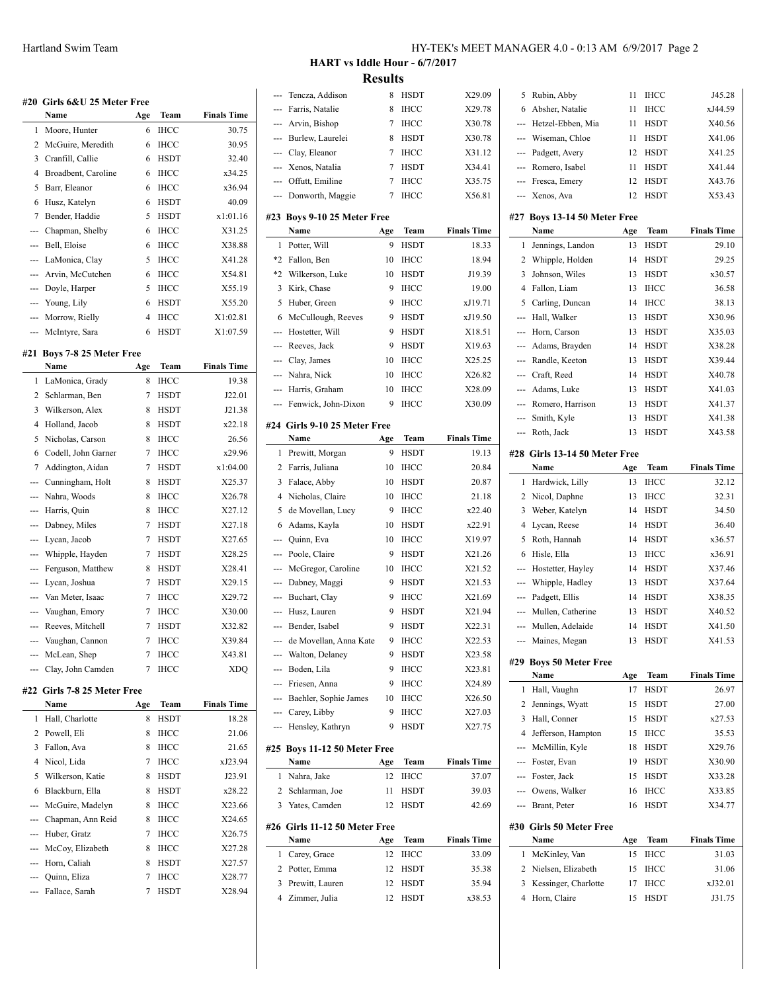|     | #20  Girls 6&U 25 Meter Free |     |             |                    |
|-----|------------------------------|-----|-------------|--------------------|
|     | Name                         | Age | Team        | <b>Finals Time</b> |
| 1   | Moore, Hunter                | 6   | <b>IHCC</b> | 30.75              |
| 2   | McGuire, Meredith            | 6   | <b>IHCC</b> | 30.95              |
| 3   | Cranfill, Callie             | 6   | HSDT        | 32.40              |
| 4   | Broadbent, Caroline          | 6   | IHCC        | x34.25             |
| 5   | Barr, Eleanor                | 6   | IHCC        | x36.94             |
| 6   | Husz, Katelyn                | 6   | HSDT        | 40.09              |
| 7   | Bender, Haddie               | 5   | <b>HSDT</b> | x1:01.16           |
| --- | Chapman, Shelby              | 6   | <b>IHCC</b> | X31.25             |
| --- | Bell, Eloise                 | 6   | <b>IHCC</b> | X38.88             |
| --- | LaMonica, Clay               | 5   | <b>IHCC</b> | X41.28             |
| --- | Arvin, McCutchen             | 6   | <b>IHCC</b> | X54.81             |
| --- | Doyle, Harper                | 5   | IHCC        | X55.19             |
| --- | Young, Lily                  | 6   | <b>HSDT</b> | X55.20             |
| --- | Morrow, Rielly               | 4   | IHCC        | X1:02.81           |
| --- | McIntyre, Sara               | 6   | HSDT        | X1:07.59           |
|     |                              |     |             |                    |
| #21 | Boys 7-8 25 Meter Free       |     |             |                    |
|     | Name                         | Age | Team        | <b>Finals Time</b> |
| 1   | LaMonica, Grady              | 8   | <b>IHCC</b> | 19.38              |
| 2   | Schlarman, Ben               | 7   | <b>HSDT</b> | J22.01             |
| 3   | Wilkerson, Alex              | 8   | <b>HSDT</b> | J21.38             |
| 4   | Holland, Jacob               | 8   | <b>HSDT</b> | x22.18             |
| 5   | Nicholas, Carson             | 8   | IHCC        | 26.56              |
| 6   | Codell, John Garner          | 7   | <b>IHCC</b> | x29.96             |
| 7   | Addington, Aidan             | 7   | <b>HSDT</b> | x1:04.00           |
| --- | Cunningham, Holt             | 8   | <b>HSDT</b> | X25.37             |
| --- | Nahra, Woods                 | 8   | IHCC        | X26.78             |
| --- | Harris, Quin                 | 8   | IHCC        | X27.12             |
| --- | Dabney, Miles                | 7   | HSDT        | X27.18             |
| --- | Lycan, Jacob                 | 7   | <b>HSDT</b> | X27.65             |
| --- | Whipple, Hayden              | 7   | <b>HSDT</b> | X28.25             |
| --- | Ferguson, Matthew            | 8   | <b>HSDT</b> | X28.41             |
| --- | Lycan, Joshua                | 7   | <b>HSDT</b> | X29.15             |
| --- | Van Meter, Isaac             | 7   | <b>IHCC</b> | X29.72             |
| --- | Vaughan, Emory               | 7   | <b>IHCC</b> | X30.00             |
| --- | Reeves, Mitchell             | 7   | HSDT        | X32.82             |
| --- | Vaughan, Cannon              | 7   | <b>IHCC</b> | X39.84             |
| --  | McLean, Shep                 | 7   | ІНСС        | X43.81             |
|     | Clay, John Camden            | 7   | IHCC        | XDQ                |
| #22 | Girls 7-8 25 Meter Free      |     |             |                    |
|     | Name                         | Age | Team        | <b>Finals Time</b> |
| 1   | Hall, Charlotte              | 8   | HSDT        | 18.28              |
| 2   | Powell, Eli                  | 8   | <b>IHCC</b> | 21.06              |
| 3   | Fallon, Ava                  | 8   | IHCC        | 21.65              |
| 4   | Nicol, Lida                  | 7   | IHCC        | xJ23.94            |
| 5   | Wilkerson, Katie             | 8   | HSDT        | J23.91             |
| 6   | Blackburn, Ella              | 8   | HSDT        | x28.22             |
| --- | McGuire, Madelyn             | 8   | IHCC        | X23.66             |
| --- | Chapman, Ann Reid            | 8   | IHCC        | X24.65             |
| --- | Huber, Gratz                 | 7   | IHCC        | X26.75             |
| --- | McCoy, Elizabeth             | 8   | IHCC        | X27.28             |

--- Horn, Caliah 8 HSDT X27.57 --- Quinn, Eliza 7 IHCC X28.77 --- Fallace, Sarah 7 HSDT X28.94 **HART vs Iddle Hour - 6/7/2017 Results**

|          | Tencza, Addison                     |     | 8 HSDT      | X29.09             |                          | 5 Rubin, Abby                        |     | 11 IHCC     | J45.28             |
|----------|-------------------------------------|-----|-------------|--------------------|--------------------------|--------------------------------------|-----|-------------|--------------------|
| ---      | Farris, Natalie                     | 8   | <b>IHCC</b> | X29.78             | 6                        | Absher, Natalie                      | 11  | <b>IHCC</b> | xJ44.59            |
|          | Arvin, Bishop                       |     | 7 IHCC      | X30.78             |                          | Hetzel-Ebben, Mia                    | 11  | <b>HSDT</b> | X40.56             |
|          | Burlew, Laurelei                    | 8   | HSDT        | X30.78             | ---                      | Wiseman, Chloe                       | 11  | <b>HSDT</b> | X41.06             |
|          | Clay, Eleanor                       |     | 7 IHCC      | X31.12             | ---                      | Padgett, Avery                       | 12  | <b>HSDT</b> | X41.25             |
|          | Xenos, Natalia                      | 7   | HSDT        | X34.41             | $\hspace{0.05cm} \ldots$ | Romero, Isabel                       | 11  | <b>HSDT</b> | X41.44             |
| ---      | Offutt, Emiline                     | 7   | IHCC        | X35.75             | $---$                    | Fresca, Emery                        | 12  | <b>HSDT</b> | X43.76             |
| ---      | Donworth, Maggie                    | 7   | IHCC        | X56.81             | ---                      | Xenos, Ava                           | 12  | <b>HSDT</b> | X53.43             |
|          |                                     |     |             |                    |                          |                                      |     |             |                    |
|          | #23 Boys 9-10 25 Meter Free<br>Name | Age | <b>Team</b> | <b>Finals Time</b> |                          | #27 Boys 13-14 50 Meter Free<br>Name | Age | Team        | <b>Finals Time</b> |
|          | 1 Potter, Will                      | 9   | <b>HSDT</b> | 18.33              | $\mathbf{1}$             | Jennings, Landon                     | 13  | <b>HSDT</b> | 29.10              |
| *2       | Fallon, Ben                         | 10  | <b>IHCC</b> | 18.94              | $\overline{2}$           | Whipple, Holden                      | 14  | <b>HSDT</b> | 29.25              |
| *2       | Wilkerson, Luke                     | 10  | HSDT        | J19.39             | 3                        | Johnson, Wiles                       | 13  | <b>HSDT</b> | x30.57             |
|          | 3 Kirk, Chase                       | 9   | IHCC        | 19.00              | 4                        | Fallon, Liam                         | 13  | <b>IHCC</b> | 36.58              |
|          | 5 Huber, Green                      | 9   | IHCC        | xJ19.71            | 5                        | Carling, Duncan                      | 14  | <b>IHCC</b> | 38.13              |
| 6        | McCullough, Reeves                  | 9   | HSDT        | xJ19.50            | $---$                    | Hall, Walker                         | 13  | <b>HSDT</b> | X30.96             |
|          | Hostetter, Will                     | 9   | <b>HSDT</b> | X18.51             | $---$                    | Horn, Carson                         | 13  | <b>HSDT</b> | X35.03             |
| ---      | Reeves, Jack                        | 9   | <b>HSDT</b> | X19.63             | $---$                    | Adams, Brayden                       | 14  | <b>HSDT</b> | X38.28             |
|          | Clay, James                         | 10  | <b>IHCC</b> | X25.25             |                          | Randle, Keeton                       | 13  | <b>HSDT</b> | X39.44             |
|          | Nahra, Nick                         | 10  | <b>IHCC</b> | X26.82             |                          | Craft, Reed                          | 14  | <b>HSDT</b> | X40.78             |
| ---      | Harris, Graham                      | 10  | <b>IHCC</b> | X28.09             | $---$<br>---             | Adams, Luke                          | 13  | <b>HSDT</b> | X41.03             |
|          | Fenwick, John-Dixon                 | 9   | IHCC        | X30.09             |                          | Romero, Harrison                     | 13  | <b>HSDT</b> | X41.37             |
| ---      |                                     |     |             |                    | ---                      |                                      | 13  | <b>HSDT</b> | X41.38             |
|          | #24 Girls 9-10 25 Meter Free        |     |             |                    | ---<br>---               | Smith, Kyle<br>Roth, Jack            | 13  | <b>HSDT</b> | X43.58             |
|          | Name                                | Age | Team        | <b>Finals Time</b> |                          |                                      |     |             |                    |
|          | 1 Prewitt, Morgan                   | 9   | <b>HSDT</b> | 19.13              |                          | #28 Girls 13-14 50 Meter Free        |     |             |                    |
|          | 2 Farris, Juliana                   | 10  | <b>IHCC</b> | 20.84              |                          | Name                                 | Age | Team        | <b>Finals Time</b> |
| 3        | Falace, Abby                        | 10  | <b>HSDT</b> | 20.87              |                          | 1 Hardwick, Lilly                    | 13  | <b>IHCC</b> | 32.12              |
| 4        | Nicholas, Claire                    | 10  | IHCC        | 21.18              | $\overline{2}$           | Nicol, Daphne                        | 13  | <b>IHCC</b> | 32.31              |
| 5        | de Movellan, Lucy                   | 9   | <b>IHCC</b> | x22.40             | 3                        | Weber, Katelyn                       | 14  | <b>HSDT</b> | 34.50              |
| 6        | Adams, Kayla                        | 10  | <b>HSDT</b> | x22.91             | 4                        | Lycan, Reese                         | 14  | <b>HSDT</b> | 36.40              |
| ---      | Quinn, Eva                          | 10  | <b>IHCC</b> | X19.97             | 5                        | Roth, Hannah                         | 14  | <b>HSDT</b> | x36.57             |
| ---      | Poole, Claire                       | 9   | <b>HSDT</b> | X21.26             | 6                        | Hisle, Ella                          | 13  | <b>IHCC</b> | x36.91             |
| ---      | McGregor, Caroline                  | 10  | <b>IHCC</b> | X21.52             | ---                      | Hostetter, Hayley                    | 14  | <b>HSDT</b> | X37.46             |
| ---      | Dabney, Maggi                       | 9   | <b>HSDT</b> | X21.53             | ---                      | Whipple, Hadley                      | 13  | <b>HSDT</b> | X37.64             |
|          | Buchart, Clay                       | 9   | <b>IHCC</b> | X21.69             |                          | Padgett, Ellis                       | 14  | <b>HSDT</b> | X38.35             |
|          | Husz, Lauren                        | 9   | <b>HSDT</b> | X21.94             | ---                      | Mullen, Catherine                    | 13  | <b>HSDT</b> | X40.52             |
|          | Bender, Isabel                      | 9   | <b>HSDT</b> | X22.31             |                          | Mullen, Adelaide                     | 14  | <b>HSDT</b> | X41.50             |
| $\cdots$ | de Movellan, Anna Kate              | 9   | IHCC        | X22.53             | ---                      | Maines, Megan                        | 13  | <b>HSDT</b> | X41.53             |
|          | Walton, Delaney                     | 9   | HSDT        | X23.58             |                          |                                      |     |             |                    |
|          | Boden, Lila                         | 9   | <b>IHCC</b> | X23.81             |                          | #29 Boys 50 Meter Free<br>Name       | Age | <b>Team</b> | <b>Finals Time</b> |
|          | Friesen, Anna                       | 9   | <b>IHCC</b> | X24.89             |                          | 1 Hall, Vaughn                       | 17  | <b>HSDT</b> | 26.97              |
|          | Baehler, Sophie James               | 10  | <b>IHCC</b> | X26.50             | $\overline{2}$           | Jennings, Wyatt                      | 15  | HSDT        | 27.00              |
| ---      | Carey, Libby                        | 9   | <b>IHCC</b> | X27.03             | 3                        | Hall, Conner                         | 15  | HSDT        | x27.53             |
| ---      | Hensley, Kathryn                    | 9   | HSDT        | X27.75             | 4                        | Jefferson, Hampton                   | 15  | <b>IHCC</b> | 35.53              |
|          | #25 Boys 11-12 50 Meter Free        |     |             |                    |                          | McMillin, Kyle                       | 18  | <b>HSDT</b> | X29.76             |
|          | Name                                | Age | Team        | <b>Finals Time</b> | ---                      | Foster, Evan                         | 19  | <b>HSDT</b> | X30.90             |
|          | 1 Nahra, Jake                       |     | 12 IHCC     | 37.07              | ---                      | Foster, Jack                         | 15  | <b>HSDT</b> | X33.28             |
|          | 2 Schlarman, Joe                    | 11  | <b>HSDT</b> | 39.03              |                          | Owens, Walker                        | 16  | <b>IHCC</b> | X33.85             |
|          | 3 Yates, Camden                     | 12  | HSDT        | 42.69              | ---                      | Brant, Peter                         |     | 16 HSDT     | X34.77             |
|          |                                     |     |             |                    |                          |                                      |     |             |                    |
|          | #26 Girls 11-12 50 Meter Free       |     |             |                    |                          | #30 Girls 50 Meter Free              |     |             |                    |
|          | Name                                | Age | Team        | <b>Finals Time</b> |                          | Name                                 | Age | Team        | <b>Finals Time</b> |
|          | 1 Carey, Grace                      |     | 12 IHCC     | 33.09              |                          | 1 McKinley, Van                      | 15  | <b>IHCC</b> | 31.03              |
|          | 2 Potter, Emma                      | 12  | <b>HSDT</b> | 35.38              | $\overline{2}$           | Nielsen, Elizabeth                   |     | 15 IHCC     | 31.06              |
|          | 3 Prewitt, Lauren                   | 12  | <b>HSDT</b> | 35.94              | 3                        | Kessinger, Charlotte                 | 17  | <b>IHCC</b> | xJ32.01            |
|          | 4 Zimmer, Julia                     |     | 12 HSDT     | x38.53             |                          | 4 Horn, Claire                       | 15  | <b>HSDT</b> | J31.75             |
|          |                                     |     |             |                    |                          |                                      |     |             |                    |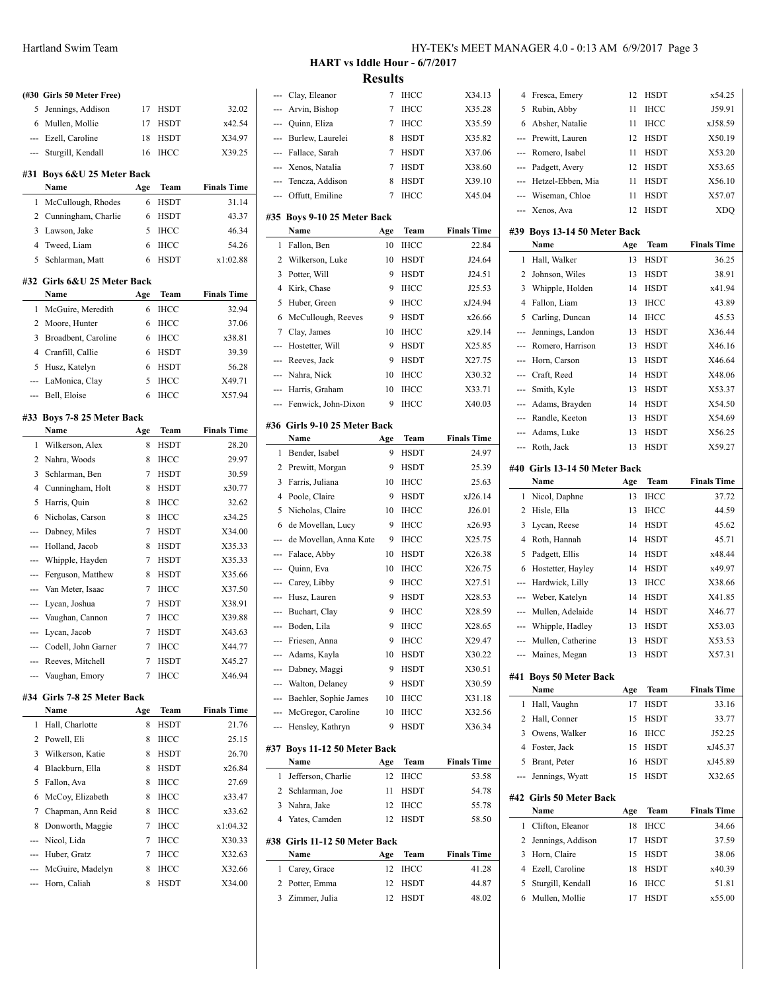|                     | (#30 Girls 50 Meter Free)      |        |                            |                    |
|---------------------|--------------------------------|--------|----------------------------|--------------------|
| 5                   | Jennings, Addison              | 17     | <b>HSDT</b>                | 32.02              |
| 6                   | Mullen, Mollie                 | 17     | <b>HSDT</b>                | x42.54             |
| ---                 | Ezell, Caroline                | 18     | <b>HSDT</b>                | X34.97             |
| ---                 | Sturgill, Kendall              | 16     | <b>IHCC</b>                | X39.25             |
|                     |                                |        |                            |                    |
| #31                 | Boys 6&U 25 Meter Back<br>Name |        | Team                       | <b>Finals Time</b> |
|                     |                                | Age    |                            |                    |
| 1<br>2              | McCullough, Rhodes             | 6      | <b>HSDT</b>                | 31.14              |
|                     | Cunningham, Charlie            | 6<br>5 | <b>HSDT</b>                | 43.37              |
| 3                   | Lawson, Jake                   |        | <b>IHCC</b>                | 46.34              |
| $\overline{4}$<br>5 | Tweed, Liam                    | 6<br>6 | <b>IHCC</b><br><b>HSDT</b> | 54.26              |
|                     | Schlarman, Matt                |        |                            | x1:02.88           |
| #32                 | Girls 6&U 25 Meter Back        |        |                            |                    |
|                     | Name                           | Age    | Team                       | <b>Finals Time</b> |
| 1                   | McGuire, Meredith              | 6      | <b>IHCC</b>                | 32.94              |
| 2                   | Moore, Hunter                  | 6      | <b>IHCC</b>                | 37.06              |
| 3                   | Broadbent, Caroline            | 6      | <b>IHCC</b>                | x38.81             |
|                     | 4 Cranfill, Callie             | 6      | <b>HSDT</b>                | 39.39              |
| 5                   | Husz, Katelyn                  | 6      | <b>HSDT</b>                | 56.28              |
| ---                 | LaMonica, Clay                 | 5      | <b>IHCC</b>                | X49.71             |
| ---                 | Bell, Eloise                   | 6      | <b>IHCC</b>                | X57.94             |
| #33                 | <b>Boys 7-8 25 Meter Back</b>  |        |                            |                    |
|                     | Name                           | Age    | Team                       | <b>Finals Time</b> |
| 1                   | Wilkerson, Alex                | 8      | <b>HSDT</b>                | 28.20              |
| 2                   | Nahra, Woods                   | 8      | <b>IHCC</b>                | 29.97              |
| 3                   | Schlarman, Ben                 | 7      | HSDT                       | 30.59              |
| 4                   | Cunningham, Holt               | 8      | <b>HSDT</b>                | x30.77             |
| 5                   | Harris, Quin                   | 8      | <b>IHCC</b>                | 32.62              |
| 6                   | Nicholas, Carson               | 8      | <b>IHCC</b>                | x34.25             |
| ---                 | Dabney, Miles                  | 7      | <b>HSDT</b>                | X34.00             |
| ---                 | Holland, Jacob                 | 8      | <b>HSDT</b>                | X35.33             |
| ---                 | Whipple, Hayden                | 7      | <b>HSDT</b>                | X35.33             |
| ---                 | Ferguson, Matthew              | 8      | <b>HSDT</b>                | X35.66             |
| ---                 | Van Meter, Isaac               | 7      | <b>IHCC</b>                | X37.50             |
| ---                 | Lycan, Joshua                  | 7      | <b>HSDT</b>                | X38.91             |
| ---                 | Vaughan, Cannon                | 7      | <b>IHCC</b>                | X39.88             |
| ---                 | Lycan, Jacob                   | 7      | <b>HSDT</b>                | X43.63             |
| ---                 | Codell, John Garner            | 7      | ІНСС                       | X44.77             |
| ---                 | Reeves, Mitchell               | 7      | HSDT                       | X45.27             |
| ---                 | Vaughan, Emory                 | 7      | <b>IHCC</b>                | X46.94             |
|                     | #34 Girls 7-8 25 Meter Back    |        |                            |                    |
|                     | Name                           | Age    | Team                       | <b>Finals Time</b> |
| 1                   | Hall, Charlotte                | 8      | <b>HSDT</b>                | 21.76              |
| 2                   | Powell, Eli                    | 8      | <b>IHCC</b>                | 25.15              |
| 3                   | Wilkerson, Katie               | 8      | HSDT                       | 26.70              |
| 4                   | Blackburn, Ella                | 8      | <b>HSDT</b>                | x26.84             |
| 5                   | Fallon, Ava                    | 8      | <b>IHCC</b>                | 27.69              |
| 6                   | McCoy, Elizabeth               | 8      | IHCC                       | x33.47             |
| 7                   | Chapman, Ann Reid              | 8      | IHCC                       | x33.62             |
| 8                   | Donworth, Maggie               | 7      | IHCC                       | x1:04.32           |
|                     | Nicol, Lida                    | 7      | IHCC                       | X30.33             |

--- Huber, Gratz 7 IHCC X32.63 --- McGuire, Madelyn 8 IHCC X32.66 --- Horn, Caliah 8 HSDT X34.00 **HART vs Iddle Hour - 6/7/2017 Results**

| ---                      | Clay, Eleanor                         | 7         | IHCC        | X34.13             |
|--------------------------|---------------------------------------|-----------|-------------|--------------------|
|                          | Arvin, Bishop                         | 7         | IHCC        | X35.28             |
| ---                      | Quinn, Eliza                          | 7         | <b>IHCC</b> | X35.59             |
| <u>.</u>                 | Burlew, Laurelei                      | 8         | <b>HSDT</b> | X35.82             |
| ---                      | Fallace, Sarah                        | 7         | <b>HSDT</b> | X37.06             |
| ---                      | Xenos, Natalia                        | 7         | <b>HSDT</b> | X38.60             |
| ---                      | Tencza, Addison                       | 8         | HSDT        | X39.10             |
| ---                      | Offutt, Emiline                       | 7         | <b>IHCC</b> | X45.04             |
|                          |                                       |           |             |                    |
|                          | #35 Boys 9-10 25 Meter Back<br>Name   | Age       | Team        | <b>Finals Time</b> |
| 1                        | Fallon, Ben                           | 10        | <b>IHCC</b> | 22.84              |
| 2                        | Wilkerson, Luke                       | 10        | HSDT        | J24.64             |
| 3                        | Potter, Will                          | 9         | HSDT        | J24.51             |
| $\overline{4}$           | Kirk, Chase                           | 9         | <b>IHCC</b> | J25.53             |
| 5                        | Huber, Green                          | 9         | IHCC        | xJ24.94            |
| 6                        | McCullough, Reeves                    | 9         | <b>HSDT</b> | x26.66             |
| 7                        | Clay, James                           | 10        | <b>IHCC</b> | x29.14             |
| ---                      | Hostetter, Will                       | 9         | HSDT        | X25.85             |
| ---                      | Reeves, Jack                          | 9         | <b>HSDT</b> | X27.75             |
| ---                      | Nahra, Nick                           | 10        | <b>IHCC</b> | X30.32             |
| ---                      | Harris, Graham                        | 10        | IHCC        | X33.71             |
| ---                      | Fenwick, John-Dixon                   | 9         | ІНСС        | X40.03             |
|                          |                                       |           |             |                    |
|                          | #36 Girls 9-10 25 Meter Back          |           |             |                    |
|                          | Name                                  | Age       | Team        | <b>Finals Time</b> |
| 1                        | Bender, Isabel                        | 9         | HSDT        | 24.97              |
| 2                        | Prewitt, Morgan                       | 9         | <b>HSDT</b> | 25.39              |
| 3                        | Farris, Juliana                       | 10        | <b>IHCC</b> | 25.63              |
| 4                        | Poole, Claire                         | 9         | HSDT        | xJ26.14            |
| 5                        | Nicholas, Claire                      | 10        | <b>IHCC</b> | J26.01             |
| 6                        | de Movellan, Lucy                     | 9         | <b>IHCC</b> | x26.93             |
| ---                      | de Movellan, Anna Kate                | 9         | IHCC        | X25.75             |
| ---                      | Falace, Abby                          | 10        | HSDT        | X26.38             |
| ---                      | Quinn, Eva                            |           |             |                    |
| $\overline{\phantom{a}}$ |                                       | 10        | <b>IHCC</b> | X26.75             |
|                          | Carey, Libby                          | 9         | <b>IHCC</b> | X27.51             |
| ---                      | Husz, Lauren                          | 9         | <b>HSDT</b> | X28.53             |
| ---                      | Buchart, Clay                         | 9         | <b>IHCC</b> | X28.59             |
| ---                      | Boden, Lila                           | 9         | <b>IHCC</b> | X28.65             |
| ---                      | Friesen, Anna                         | 9         | ІНСС        | X29.47             |
| ---                      | Adams, Kayla                          | 10        | HSDT        | X30.22             |
| ---                      | Dabney, Maggi                         | 9         | HSDT        | X30.51             |
| ---                      | Walton, Delaney                       | 9         | <b>HSDT</b> | X30.59             |
| ---                      | Baehler, Sophie James                 | 10        | <b>IHCC</b> | X31.18             |
| ---                      | McGregor, Caroline                    | 10        | ІНСС        | X32.56             |
| ---                      | Hensley, Kathryn                      | 9         | HSDT        | X36.34             |
| #37                      | Boys 11-12 50 Meter Back              |           |             |                    |
|                          | Name                                  | Age       | Team        | <b>Finals Time</b> |
| 1                        | Jefferson, Charlie                    | 12        | ІНСС        | 53.58              |
| 2                        | Schlarman, Joe                        | 11        | HSDT        | 54.78              |
| 3                        | Nahra, Jake                           | 12        | <b>IHCC</b> | 55.78              |
| 4                        | Yates, Camden                         | 12        | HSDT        | 58.50              |
|                          |                                       |           |             |                    |
|                          | #38 Girls 11-12 50 Meter Back<br>Name |           | Team        | <b>Finals Time</b> |
| 1                        | Carey, Grace                          | Age<br>12 | ІНСС        | 41.28              |

3 Zimmer, Julia 12 HSDT 48.02

| 4      | Fresca, Emery                       | 12       | <b>HSDT</b>  | x54.25             |
|--------|-------------------------------------|----------|--------------|--------------------|
| 5      | Rubin, Abby                         | 11       | <b>IHCC</b>  | J59.91             |
| 6      | Absher, Natalie                     | 11       | <b>IHCC</b>  | xJ58.59            |
| ---    | Prewitt, Lauren                     | 12       | HSDT         | X50.19             |
| ---    | Romero, Isabel                      | 11       | <b>HSDT</b>  | X53.20             |
| ---    | Padgett, Avery                      | 12       | <b>HSDT</b>  | X53.65             |
| ---    | Hetzel-Ebben, Mia                   | 11       | <b>HSDT</b>  | X56.10             |
| ---    | Wiseman, Chloe                      | 11       | <b>HSDT</b>  | X57.07             |
| ---    | Xenos, Ava                          | 12       | <b>HSDT</b>  | <b>XDQ</b>         |
|        | #39 Boys 13-14 50 Meter Back        |          |              |                    |
|        | Name                                | Age      | Team         | <b>Finals Time</b> |
| 1      | Hall, Walker                        | 13       | <b>HSDT</b>  | 36.25              |
| 2      | Johnson, Wiles                      | 13       | HSDT         | 38.91              |
| 3      | Whipple, Holden                     | 14       | HSDT         | x41.94             |
| 4      | Fallon, Liam                        | 13       | <b>IHCC</b>  |                    |
|        |                                     |          |              | 43.89              |
| 5      | Carling, Duncan                     | 14       | <b>IHCC</b>  | 45.53              |
| ---    | Jennings, Landon                    | 13       | <b>HSDT</b>  | X36.44             |
| ---    | Romero, Harrison                    | 13       | HSDT         | X46.16             |
| ---    | Horn, Carson                        | 13       | <b>HSDT</b>  | X46.64             |
| ---    | Craft, Reed                         | 14       | <b>HSDT</b>  | X48.06             |
| ---    | Smith, Kyle                         | 13       | <b>HSDT</b>  | X53.37             |
| ---    | Adams, Brayden                      | 14       | <b>HSDT</b>  | X54.50             |
| ---    | Randle, Keeton                      | 13       | HSDT         | X54.69             |
| ---    | Adams, Luke                         | 13       | HSDT         | X56.25             |
| ---    | Roth, Jack                          | 13       | HSDT         | X59.27             |
|        | #40 Girls 13-14 50 Meter Back       |          |              |                    |
|        | Name                                | Age      | Team         | <b>Finals Time</b> |
| 1      | Nicol, Daphne                       | 13       | IHCC         | 37.72              |
| 2      | Hisle, Ella                         | 13       | <b>IHCC</b>  | 44.59              |
|        |                                     |          |              |                    |
|        |                                     |          |              |                    |
| 3      | Lycan, Reese                        | 14       | <b>HSDT</b>  | 45.62              |
| 4      | Roth, Hannah                        | 14       | <b>HSDT</b>  | 45.71              |
| 5      | Padgett, Ellis                      | 14       | HSDT         | x48.44             |
| 6      | Hostetter, Hayley                   | 14       | <b>HSDT</b>  | x49.97             |
| ---    | Hardwick, Lilly                     | 13       | IHCC         | X38.66             |
| ---    | Weber, Katelyn                      | 14       | HSDT         | X41.85             |
| ---    | Mullen, Adelaide                    | 14       | HSDT         | X46.77             |
| ---    | Whipple, Hadley                     | 13       | <b>HSDT</b>  | X53.03             |
| ₩.     | Mullen, Catherine                   | 13       | <b>HSDT</b>  | X53.53             |
|        | --- Maines, Megan                   | 13       | HSDT         | X57.31             |
|        | #41 Boys 50 Meter Back              |          |              |                    |
|        | Name                                | Age      | Team         | <b>Finals Time</b> |
| 1      | Hall, Vaughn                        | 17       | <b>HSDT</b>  | 33.16              |
| 2      | Hall, Conner                        | 15       | HSDT         | 33.77              |
| 3      | Owens, Walker                       | 16       | IHCC         | J52.25             |
| 4      | Foster, Jack                        | 15       | HSDT         | xJ45.37            |
| 5      | Brant, Peter                        | 16       | HSDT         | xJ45.89            |
| ---    | Jennings, Wyatt                     | 15       | HSDT         | X32.65             |
|        |                                     |          |              |                    |
|        | #42 Girls 50 Meter Back             |          |              |                    |
|        | Name                                | Age      | Team         | <b>Finals Time</b> |
| 1      | Clifton, Eleanor                    | 18       | <b>IHCC</b>  | 34.66              |
| 2      | Jennings, Addison                   | 17       | HSDT         | 37.59              |
| 3      | Horn, Claire                        | 15       | HSDT         | 38.06              |
| 4      | Ezell, Caroline                     | 18       | HSDT         | x40.39             |
| 5<br>6 | Sturgill, Kendall<br>Mullen, Mollie | 16<br>17 | IHCC<br>HSDT | 51.81<br>x55.00    |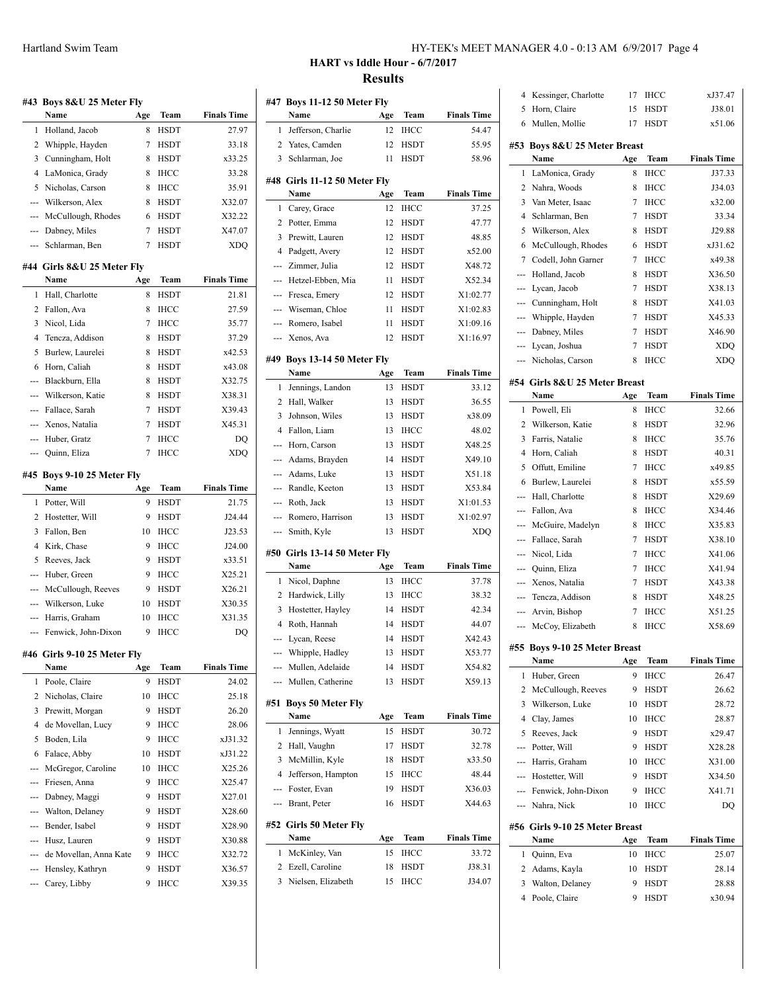| HY-TEK's MEET MANAGER 4.0 - 0:13 AM 6/9/2017 Page 4 |  |  |  |
|-----------------------------------------------------|--|--|--|
|-----------------------------------------------------|--|--|--|

# **HART vs Iddle Hour - 6/7/2017 Results**

|                | #43 Boys 8&U 25 Meter Fly              |     |             |                    |
|----------------|----------------------------------------|-----|-------------|--------------------|
|                | Name                                   | Age | Team        | <b>Finals Time</b> |
| 1              | Holland. Jacob                         | 8   | <b>HSDT</b> | 27.97              |
| 2              | Whipple, Hayden                        | 7   | <b>HSDT</b> | 33.18              |
| 3              | Cunningham, Holt                       | 8   | <b>HSDT</b> | x33.25             |
| 4              | LaMonica, Grady                        | 8   | <b>IHCC</b> | 33.28              |
| 5              | Nicholas, Carson                       | 8   | <b>IHCC</b> | 35.91              |
| ---            | Wilkerson, Alex                        | 8   | <b>HSDT</b> | X32.07             |
| ---            | McCullough, Rhodes                     | 6   | <b>HSDT</b> | X32.22             |
| ---            | Dabney, Miles                          | 7   | <b>HSDT</b> | X47.07             |
|                | Schlarman, Ben                         | 7   | <b>HSDT</b> | <b>XDO</b>         |
|                | #44  Girls 8&U 25 Meter Fly            |     |             |                    |
|                | Name                                   | Age | Team        | <b>Finals Time</b> |
| 1              | Hall, Charlotte                        | 8   | <b>HSDT</b> | 21.81              |
| 2              | Fallon, Ava                            | 8   | <b>IHCC</b> | 27.59              |
| 3              | Nicol, Lida                            | 7   | <b>IHCC</b> | 35.77              |
| 4              | Tencza, Addison                        | 8   | <b>HSDT</b> | 37.29              |
| 5              | Burlew, Laurelei                       | 8   | <b>HSDT</b> | x42.53             |
| 6              | Horn, Caliah                           | 8   | <b>HSDT</b> | x43.08             |
|                | Blackburn, Ella                        | 8   | <b>HSDT</b> | X32.75             |
|                | Wilkerson, Katie                       | 8   | <b>HSDT</b> | X38.31             |
| ---            | Fallace, Sarah                         | 7   | <b>HSDT</b> | X39.43             |
| ---            | Xenos, Natalia                         | 7   | <b>HSDT</b> | X45.31             |
| ---            | Huber, Gratz                           | 7   | <b>IHCC</b> | DO                 |
| ---            | Quinn, Eliza                           | 7   | <b>IHCC</b> | <b>XDQ</b>         |
| #45            | Boys 9-10 25 Meter Fly                 |     |             |                    |
|                | Name                                   | Age | Team        | <b>Finals Time</b> |
|                |                                        |     |             |                    |
| 1              | Potter, Will                           | 9   | <b>HSDT</b> | 21.75              |
| $\overline{c}$ | Hostetter, Will                        | 9   | <b>HSDT</b> | J24.44             |
| 3              | Fallon, Ben                            | 10  | <b>IHCC</b> | J23.53             |
| 4              | Kirk, Chase                            | 9   | <b>IHCC</b> | J24.00             |
| 5              | Reeves, Jack                           | 9   | <b>HSDT</b> | x33.51             |
| ---            | Huber, Green                           | 9   | <b>IHCC</b> | X25.21             |
| ---            | McCullough, Reeves                     | 9   | <b>HSDT</b> | X26.21             |
| ---            | Wilkerson, Luke                        | 10  | <b>HSDT</b> | X30.35             |
| ---            | Harris. Graham                         | 10  | <b>IHCC</b> | X31.35             |
| ---            | Fenwick, John-Dixon                    | 9   | <b>IHCC</b> | DQ                 |
|                | #46 Girls 9-10 25 Meter Fly            |     |             |                    |
|                | Name                                   | Age | Team        | <b>Finals Time</b> |
| 1              | Poole, Claire                          | 9   | HSDT        | 24.02              |
| 2              | Nicholas, Claire                       | 10  | IHCC        | 25.18              |
| 3              | Prewitt, Morgan                        | 9   | <b>HSDT</b> | 26.20              |
| 4              | de Movellan, Lucy                      | 9   | <b>IHCC</b> | 28.06              |
| 5              | Boden, Lila                            | 9   | IHCC        | xJ31.32            |
| 6              | Falace, Abby                           | 10  | <b>HSDT</b> | xJ31.22            |
| ---            | McGregor, Caroline                     | 10  | IHCC        | X25.26             |
| ---            | Friesen, Anna                          | 9   | IHCC        | X25.47             |
| ---            | Dabney, Maggi                          | 9   | <b>HSDT</b> | X27.01             |
| ---            | Walton, Delaney                        | 9   | HSDT        | X28.60             |
| ---            |                                        | 9   | <b>HSDT</b> |                    |
| ---            | Bender, Isabel                         | 9   | <b>HSDT</b> | X28.90             |
| ---            | Husz, Lauren<br>de Movellan, Anna Kate | 9   | <b>IHCC</b> | X30.88<br>X32.72   |
| ---            |                                        | 9   | <b>HSDT</b> | X36.57             |
|                | Hensley, Kathryn<br>Carey, Libby       | 9   | IHCC        | X39.35             |

|                | #47 Boys 11-12 50 Meter Fly           |          |                     |                    |
|----------------|---------------------------------------|----------|---------------------|--------------------|
|                | Name                                  | Age      | Team                | <b>Finals Time</b> |
| 1              | Jefferson, Charlie                    | 12       | <b>IHCC</b>         | 54.47              |
|                | 2 Yates, Camden                       | 12       | HSDT                | 55.95              |
| 3              | Schlarman, Joe                        | 11       | HSDT                | 58.96              |
|                |                                       |          |                     |                    |
|                | #48 Girls 11-12 50 Meter Fly          |          |                     |                    |
|                | Name                                  | Age      | Team                | <b>Finals Time</b> |
| 1              | Carey, Grace                          | 12       | <b>IHCC</b>         | 37.25              |
| $\overline{c}$ | Potter, Emma                          | 12       | HSDT                | 47.77              |
| 3              | Prewitt, Lauren                       | 12       | <b>HSDT</b>         | 48.85              |
| 4              | Padgett, Avery                        | 12       | <b>HSDT</b>         | x52.00             |
| ---            | Zimmer, Julia                         | 12       | <b>HSDT</b>         | X48.72             |
| ---            | Hetzel-Ebben, Mia                     | 11       | <b>HSDT</b>         | X52.34             |
| ---            | Fresca, Emery                         | 12       | <b>HSDT</b>         | X1:02.77           |
| $\overline{a}$ | Wiseman, Chloe                        | 11       | <b>HSDT</b>         | X1:02.83           |
| ---            | Romero, Isabel                        | 11       | HSDT                | X1:09.16           |
| ---            | Xenos, Ava                            | 12       | <b>HSDT</b>         | X1:16.97           |
|                | #49 Boys 13-14 50 Meter Fly           |          |                     |                    |
|                | Name                                  | Age      | Team                | <b>Finals Time</b> |
| 1              | Jennings, Landon                      | 13       | <b>HSDT</b>         | 33.12              |
| 2              | Hall, Walker                          | 13       | <b>HSDT</b>         | 36.55              |
| 3              | Johnson, Wiles                        | 13       | <b>HSDT</b>         | x38.09             |
| $\overline{4}$ | Fallon, Liam                          | 13       | <b>IHCC</b>         | 48.02              |
| ---            | Horn, Carson                          | 13       | <b>HSDT</b>         | X48.25             |
|                |                                       |          |                     |                    |
| ---            | Adams, Brayden                        | 14       | <b>HSDT</b>         | X49.10             |
| ---            | Adams, Luke                           | 13       | HSDT                | X51.18             |
| ---            | Randle, Keeton                        | 13       | HSDT                | X53.84             |
| ---            | Roth, Jack                            | 13       | HSDT                | X1:01.53           |
| ---            | Romero, Harrison                      | 13       | HSDT                | X1:02.97           |
| ---            | Smith, Kyle                           | 13       | <b>HSDT</b>         | XDQ                |
|                | #50 Girls 13-14 50 Meter Fly          |          |                     |                    |
|                | Name                                  | Age      | Team                | <b>Finals Time</b> |
| 1              | Nicol, Daphne                         | 13       | <b>IHCC</b>         | 37.78              |
| 2              | Hardwick, Lilly                       | 13       | IHCC                | 38.32              |
| 3              | Hostetter, Hayley                     | 14       | HSDT                | 42.34              |
| $\overline{4}$ | Roth, Hannah                          | 14       | HSDT                | 44.07              |
| ---            | Lycan, Reese                          | 14       | <b>HSDT</b>         | X42.43             |
| ---            | Whipple, Hadley                       | 13       | HSDT                | X53.77             |
|                | --- Mullen, Adelaide                  | 14       | HSDT                | X54.82             |
|                | --- Mullen, Catherine                 | 13       | <b>HSDT</b>         | X59.13             |
| #51            | <b>Boys 50 Meter Fly</b>              |          |                     |                    |
|                | Name                                  | Age      | Team                | <b>Finals Time</b> |
| 1              | Jennings, Wyatt                       | 15       | HSDT                | 30.72              |
| 2              | Hall, Vaughn                          | 17       | HSDT                | 32.78              |
| 3              | McMillin, Kyle                        | 18       | <b>HSDT</b>         | x33.50             |
| 4              | Jefferson, Hampton                    | 15       | <b>IHCC</b>         | 48.44              |
| ---            | Foster, Evan                          | 19       | HSDT                | X36.03             |
| ---            | Brant, Peter                          | 16       | <b>HSDT</b>         | X44.63             |
|                |                                       |          |                     |                    |
|                | #52 Girls 50 Meter Fly<br>Name        |          |                     |                    |
|                |                                       | Age      | Team                | <b>Finals Time</b> |
|                |                                       |          |                     |                    |
| 1              | McKinley, Van                         | 15       | IHCC                | 33.72              |
| 2<br>3         | Ezell, Caroline<br>Nielsen, Elizabeth | 18<br>15 | HSDT<br><b>IHCC</b> | J38.31<br>J34.07   |

| 4              | Kessinger, Charlotte                   | 17             | <b>IHCC</b>         | xJ37.47            |
|----------------|----------------------------------------|----------------|---------------------|--------------------|
| 5              | Horn, Claire                           | 15             | <b>HSDT</b>         | J38.01             |
| 6              | Mullen, Mollie                         | 17             | <b>HSDT</b>         | x51.06             |
| #53            | Boys 8&U 25 Meter Breast               |                |                     |                    |
|                | Name                                   | Age            | <b>Team</b>         | <b>Finals Time</b> |
| 1              | LaMonica, Grady                        | 8              | IHCC                | J37.33             |
| 2              | Nahra, Woods                           | 8              | IHCC                | J34.03             |
| 3              | Van Meter, Isaac                       | 7              | <b>IHCC</b>         | x32.00             |
| 4              | Schlarman, Ben                         | 7              | HSDT                | 33.34              |
| 5              | Wilkerson, Alex                        | 8              | <b>HSDT</b>         | J29.88             |
| 6              | McCullough, Rhodes                     | 6              | <b>HSDT</b>         | xJ31.62            |
| 7              | Codell, John Garner                    | 7              | IHCC                | x49.38             |
|                | Holland, Jacob                         | 8              | HSDT                | X36.50             |
|                | Lycan, Jacob                           | 7              | HSDT                | X38.13             |
| ---            | Cunningham, Holt                       | 8              | HSDT                | X41.03             |
| ---            | Whipple, Hayden                        | 7              | HSDT                | X45.33             |
| ---            | Dabney, Miles                          | 7              | <b>HSDT</b>         | X46.90             |
| ---            | Lycan, Joshua                          | 7              | <b>HSDT</b>         | XDQ                |
| ---            | Nicholas, Carson                       | 8              | <b>IHCC</b>         | XDQ                |
|                | #54 Girls 8&U 25 Meter Breast          |                |                     |                    |
|                | Name                                   | Age            | Team                | <b>Finals Time</b> |
| 1              | Powell, Eli                            | 8              | <b>IHCC</b>         | 32.66              |
| 2              | Wilkerson, Katie                       | 8              | <b>HSDT</b>         | 32.96              |
| 3              | Farris, Natalie                        | 8              | <b>IHCC</b>         | 35.76              |
| 4              | Horn, Caliah                           | 8              | <b>HSDT</b>         | 40.31              |
| 5              | Offutt, Emiline                        | 7              | <b>IHCC</b>         | x49.85             |
| 6              | Burlew, Laurelei                       | 8              | <b>HSDT</b>         | x55.59             |
| ---            | Hall, Charlotte                        | 8              | <b>HSDT</b>         | X29.69             |
| ---            | Fallon, Ava                            | 8              | <b>IHCC</b>         | X34.46             |
|                | --- McGuire, Madelyn                   | 8              | <b>IHCC</b>         | X35.83             |
| $\overline{a}$ | Fallace, Sarah                         | $\overline{7}$ | HSDT                | X38.10             |
|                | --- Nicol, Lida                        | 7              | IHCC                | X41.06             |
|                | --- Quinn, Eliza                       | 7              | IHCC                | X41.94             |
| ---            | Xenos, Natalia                         | 7              | HSDT                | X43.38             |
|                | Tencza, Addison                        | 8              | <b>HSDT</b>         | X48.25             |
| ---            | Arvin, Bishop                          | 7              | <b>IHCC</b>         | X51.25             |
| ---            | McCoy, Elizabeth                       | 8              | <b>IHCC</b>         | X58.69             |
|                |                                        |                |                     |                    |
|                | #55 Boys 9-10 25 Meter Breast<br>Name  | Age            | Team                | <b>Finals Time</b> |
| 1              | Huber, Green                           | 9              | IHCC                | 26.47              |
| 2              | McCullough, Reeves                     | 9              | <b>HSDT</b>         |                    |
| 3              | Wilkerson, Luke                        | 10             |                     | 26.62              |
| 4              |                                        |                | HSDT                | 28.72              |
| 5              | Clay, James<br>Reeves, Jack            | 10<br>9        | IHCC<br><b>HSDT</b> | 28.87              |
| ---            | Potter, Will                           |                | <b>HSDT</b>         | x29.47<br>X28.28   |
|                | Harris, Graham                         | 9              | <b>IHCC</b>         |                    |
| ---            | --- Hostetter, Will                    | 10<br>9        | <b>HSDT</b>         | X31.00             |
|                |                                        |                |                     | X34.50             |
| ---            | --- Fenwick, John-Dixon<br>Nahra, Nick | 9<br>10        | IHCC<br>IHCC        | X41.71<br>DQ       |
|                | #56 Girls 9-10 25 Meter Breast         |                |                     |                    |
|                | Name                                   | Age            | Team                | <b>Finals Time</b> |
| 1              | Quinn, Eva                             | 10             | ІНСС                | 25.07              |
| 2              | Adams, Kayla                           | 10             | HSDT                | 28.14              |
| 3              | Walton, Delaney                        | 9              | HSDT                | 28.88              |
| 4              | Poole, Claire                          | 9              | HSDT                | x30.94             |
|                |                                        |                |                     |                    |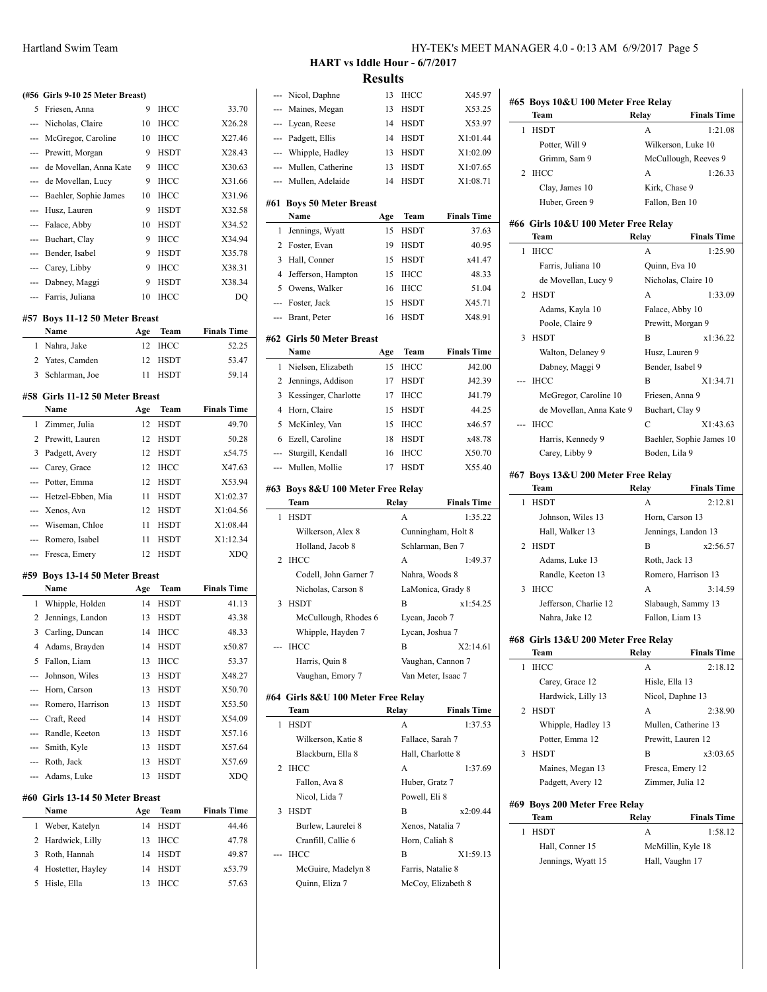|     | папиани эмпи теани               |    |             |        |                          |
|-----|----------------------------------|----|-------------|--------|--------------------------|
|     |                                  |    |             |        |                          |
|     |                                  |    |             |        |                          |
|     | (#56 Girls 9-10 25 Meter Breast) |    |             |        | N                        |
| 5   | Friesen, Anna                    | 9  | <b>IHCC</b> | 33.70  | M                        |
|     | Nicholas, Claire                 | 10 | <b>IHCC</b> | X26.28 | L)                       |
|     | McGregor, Caroline               | 10 | <b>IHCC</b> | X27.46 | P <sub>i</sub>           |
| --- | Prewitt, Morgan                  | 9  | <b>HSDT</b> | X28.43 | W                        |
|     | de Movellan, Anna Kate           | 9  | <b>IHCC</b> | X30.63 | M                        |
|     | de Movellan, Lucy                | 9  | <b>IHCC</b> | X31.66 | M                        |
|     | Baehler, Sophie James            | 10 | <b>IHCC</b> | X31.96 |                          |
| --- | Husz, Lauren                     | 9  | <b>HSDT</b> | X32.58 | #61 Bo<br>N              |
| --- | Falace, Abby                     | 10 | <b>HSDT</b> | X34.52 | Je<br>1                  |
| --- | Buchart, Clay                    | 9  | <b>IHCC</b> | X34.94 | 2                        |
| --- | Bender, Isabel                   | 9  | <b>HSDT</b> | X35.78 | F <sub>0</sub><br>H<br>3 |
| --- | Carey, Libby                     | 9  | <b>IHCC</b> | X38.31 |                          |
|     | --- Dabney, Maggi                | 9  | <b>HSDT</b> | X38.34 | Je<br>4                  |
| --- | Farris, Juliana                  | 10 | <b>IHCC</b> | DQ     | $\mathcal{O}$<br>5       |
|     |                                  |    |             |        | F                        |
|     | #57 Boys 11-12 50 Meter Breast   |    |             |        | B <sub>1</sub>           |

| Name             | Age | Team    | <b>Finals Time</b> |
|------------------|-----|---------|--------------------|
| 1 Nahra, Jake    |     | 12 IHCC | 52.25              |
| 2 Yates, Camden  |     | 12 HSDT | 53.47              |
| 3 Schlarman, Joe |     | HSDT    | 59.14              |

#### **#58 Girls 11-12 50 Meter Breast**

|                                | Name                  | Age | Team        | <b>Finals Time</b> |  |  |
|--------------------------------|-----------------------|-----|-------------|--------------------|--|--|
|                                | 1 Zimmer, Julia       | 12  | <b>HSDT</b> | 49.70              |  |  |
| 2                              | Prewitt, Lauren       | 12  | <b>HSDT</b> | 50.28              |  |  |
| 3                              | Padgett, Avery        | 12  | <b>HSDT</b> | x54.75             |  |  |
|                                | --- Carey, Grace      | 12  | <b>IHCC</b> | X47.63             |  |  |
|                                | --- Potter, Emma      | 12  | <b>HSDT</b> | X53.94             |  |  |
|                                | --- Hetzel-Ebben, Mia | 11  | <b>HSDT</b> | X1:02.37           |  |  |
|                                | --- Xenos, Ava        | 12  | <b>HSDT</b> | X1:04.56           |  |  |
|                                | --- Wiseman, Chloe    | 11  | <b>HSDT</b> | X1:08.44           |  |  |
|                                | --- Romero, Isabel    | 11  | <b>HSDT</b> | X1:12.34           |  |  |
|                                | --- Fresca, Emery     | 12  | <b>HSDT</b> | <b>XDO</b>         |  |  |
| #59 Boys 13-14 50 Meter Breast |                       |     |             |                    |  |  |
|                                | Name                  | Age | <b>Team</b> | <b>Finals Time</b> |  |  |
| 1                              | Whipple, Holden       | 14  | <b>HSDT</b> | 41.13              |  |  |
|                                | 2. Iomránach London   | 12  | <b>HCDT</b> | 12.20              |  |  |

|                                  | Name                 | Age | Team        | <b>Finals Time</b> |  |  |
|----------------------------------|----------------------|-----|-------------|--------------------|--|--|
| #60  Girls 13-14 50 Meter Breast |                      |     |             |                    |  |  |
|                                  | --- Adams, Luke      | 13  | <b>HSDT</b> | <b>XDO</b>         |  |  |
|                                  | --- Roth, Jack       | 13  | <b>HSDT</b> | X57.69             |  |  |
|                                  | --- Smith, Kyle      | 13  | <b>HSDT</b> | X57.64             |  |  |
|                                  | --- Randle, Keeton   | 13  | <b>HSDT</b> | X57.16             |  |  |
|                                  | --- Craft, Reed      | 14  | <b>HSDT</b> | X54.09             |  |  |
|                                  | --- Romero, Harrison | 13  | <b>HSDT</b> | X53.50             |  |  |
|                                  | --- Horn, Carson     | 13  | <b>HSDT</b> | X50.70             |  |  |
|                                  | --- Johnson, Wiles   | 13  | <b>HSDT</b> | X48.27             |  |  |
| 5                                | Fallon, Liam         | 13  | <b>IHCC</b> | 53.37              |  |  |
| 4                                | Adams, Brayden       | 14  | <b>HSDT</b> | x50.87             |  |  |
| 3                                | Carling, Duncan      | 14  | <b>IHCC</b> | 48.33              |  |  |
| 2                                | Jennings, Landon     | 13  | <b>HSDT</b> | 43.38              |  |  |
| 1                                | Whipple, Holden      | 14  | HSDT        | 41.13              |  |  |

|    | Name                | Age | Team        | Finals Time |
|----|---------------------|-----|-------------|-------------|
|    | 1 Weber, Katelyn    | 14  | <b>HSDT</b> | 44.46       |
|    | 2 Hardwick, Lilly   | 13  | IHCC        | 47.78       |
| 3  | Roth, Hannah        | 14  | HSDT        | 49.87       |
|    | 4 Hostetter, Hayley | 14  | <b>HSDT</b> | x53.79      |
| 5. | Hisle, Ella         | 13  | <b>IHCC</b> | 57.63       |
|    |                     |     |             |             |

# HY-TEK's MEET MANAGER 4.0 - 0:13 AM 6/9/2017 Page 5

### **HART vs Iddle Hour - 6/7/2017 Results**

| ---            | Nicol, Daphne                        | 13    | IHCC              | X45.97             |
|----------------|--------------------------------------|-------|-------------------|--------------------|
| ---            | Maines, Megan                        | 13    | HSDT              | X53.25             |
| ---            | Lycan, Reese                         | 14    | HSDT              | X53.97             |
| ---            | Padgett, Ellis                       | 14    | <b>HSDT</b>       | X1:01.44           |
|                | --- Whipple, Hadley                  | 13    | HSDT              | X1:02.09           |
|                | --- Mullen, Catherine                | 13    | HSDT              | X1:07.65           |
| $\overline{a}$ | Mullen, Adelaide                     | 14    | HSDT              | X1:08.71           |
| #61            | <b>Boys 50 Meter Breast</b><br>Name  |       | Team              | <b>Finals Time</b> |
|                |                                      | Age   |                   |                    |
| 1              | Jennings, Wyatt                      | 15    | <b>HSDT</b>       | 37.63              |
| 2              | Foster, Evan                         | 19    | HSDT              | 40.95              |
| 3              | Hall, Conner                         | 15    | <b>HSDT</b>       | x41.47             |
| $\overline{4}$ | Jefferson, Hampton                   | 15    | IHCC              | 48.33              |
| 5              | Owens, Walker                        | 16    | IHCC              | 51.04              |
| ---            | Foster, Jack                         | 15    | HSDT              | X45.71             |
| ---            | Brant, Peter                         | 16    | <b>HSDT</b>       | X48.91             |
|                | #62 Girls 50 Meter Breast            |       |                   | <b>Finals Time</b> |
|                | Name                                 | Age   | Team              |                    |
| 1              | Nielsen, Elizabeth                   | 15    | <b>IHCC</b>       | J42.00             |
| 2              | Jennings, Addison                    | 17    | HSDT              | J42.39             |
| 3              | Kessinger, Charlotte                 | 17    | <b>IHCC</b>       | J41.79             |
| $\overline{4}$ | Horn, Claire                         | 15    | HSDT              | 44.25              |
| 5              | McKinley, Van                        | 15    | IHCC              | x46.57             |
| 6              | Ezell, Caroline                      | 18    | <b>HSDT</b>       | x48.78             |
| ---            | Sturgill, Kendall                    | 16    | IHCC              | X50.70             |
| ---            | Mullen, Mollie                       | 17    | <b>HSDT</b>       | X55.40             |
|                | #63 Boys 8&U 100 Meter Free Relay    |       |                   |                    |
|                |                                      |       |                   |                    |
|                | Team                                 | Relay |                   | <b>Finals Time</b> |
| 1              | <b>HSDT</b>                          |       | A                 | 1:35.22            |
|                | Wilkerson, Alex 8                    |       |                   | Cunningham, Holt 8 |
|                | Holland, Jacob 8                     |       | Schlarman, Ben 7  |                    |
| 2              | <b>IHCC</b>                          |       | A                 | 1:49.37            |
|                | Codell, John Garner 7                |       | Nahra, Woods 8    |                    |
|                | Nicholas, Carson 8                   |       |                   | LaMonica, Grady 8  |
| 3              | <b>HSDT</b>                          |       | B                 | x1:54.25           |
|                | McCullough, Rhodes 6                 |       | Lycan, Jacob 7    |                    |
|                | Whipple, Hayden 7                    |       | Lycan, Joshua 7   |                    |
|                | <b>IHCC</b>                          |       | B                 | X2:14.61           |
|                | Harris, Quin 8                       |       |                   | Vaughan, Cannon 7  |
|                | Vaughan, Emory 7                     |       |                   | Van Meter, Isaac 7 |
|                | #64 Girls 8&U 100 Meter Free Relay   |       |                   |                    |
|                | Team                                 | Relay |                   | <b>Finals Time</b> |
| 1              | HSDT                                 |       | A                 | 1:37.53            |
|                | Wilkerson, Katie 8                   |       | Fallace, Sarah 7  |                    |
|                | Blackburn, Ella 8                    |       | Hall, Charlotte 8 |                    |
| 2              | <b>IHCC</b>                          |       | A                 | 1:37.69            |
|                | Fallon, Ava 8                        |       | Huber, Gratz 7    |                    |
|                | Nicol, Lida 7                        |       | Powell, Eli 8     |                    |
| 3              | <b>HSDT</b>                          |       | В                 | x2:09.44           |
|                | Burlew, Laurelei 8                   |       | Xenos, Natalia 7  |                    |
|                | Cranfill, Callie 6                   |       | Horn, Caliah 8    |                    |
| ---            | IHCC                                 |       | В                 | X1:59.13           |
|                | McGuire, Madelyn 8<br>Quinn, Eliza 7 |       | Farris, Natalie 8 | McCoy, Elizabeth 8 |

|     | Team                                        | Relay            | <b>Finals Time</b>                                                                                                     |
|-----|---------------------------------------------|------------------|------------------------------------------------------------------------------------------------------------------------|
| 1   | <b>HSDT</b>                                 | A                | 1:21.08                                                                                                                |
|     | Potter, Will 9                              |                  | Wilkerson, Luke 10                                                                                                     |
|     | Grimm, Sam 9                                |                  | McCullough, Reeves 9                                                                                                   |
|     | 2 IHCC                                      | A                | 1:26.33                                                                                                                |
|     | Clay, James 10                              | Kirk, Chase 9    |                                                                                                                        |
|     | Huber, Green 9                              | Fallon, Ben 10   |                                                                                                                        |
|     | #66 Girls 10&U 100 Meter Free Relav<br>Team | Relay            | <b>Finals Time</b>                                                                                                     |
| 1   | <b>IHCC</b>                                 | A                | 1:25.90                                                                                                                |
|     | Farris, Juliana 10                          | Quinn, Eva 10    |                                                                                                                        |
|     | de Movellan, Lucy 9                         |                  | Nicholas, Claire 10                                                                                                    |
|     | 2 HSDT                                      | А                | 1:33.09                                                                                                                |
|     | Adams, Kayla 10                             | Falace, Abby 10  |                                                                                                                        |
|     | Poole, Claire 9                             |                  | Prewitt, Morgan 9                                                                                                      |
|     | 3 HSDT                                      | B                | x1:36.22                                                                                                               |
|     | Walton, Delaney 9                           | Husz, Lauren 9   |                                                                                                                        |
|     | Dabney, Maggi 9                             | Bender, Isabel 9 |                                                                                                                        |
| --- | <b>IHCC</b>                                 | B                | X1:34.71                                                                                                               |
|     | McGregor, Caroline 10                       | Friesen, Anna 9  |                                                                                                                        |
|     | de Movellan, Anna Kate 9                    | Buchart, Clay 9  |                                                                                                                        |
|     | IHCC                                        | C                | X1:43.63                                                                                                               |
|     | Harris, Kennedy 9                           |                  | Baehler, Sophie James 10                                                                                               |
|     |                                             | Boden, Lila 9    |                                                                                                                        |
|     | Carey, Libby 9                              |                  |                                                                                                                        |
|     |                                             |                  |                                                                                                                        |
|     | #67 Boys 13&U 200 Meter Free Relay          |                  |                                                                                                                        |
|     | Team                                        | Relay<br>A       |                                                                                                                        |
|     | 1 HSDT                                      |                  |                                                                                                                        |
|     | Johnson, Wiles 13                           | Horn, Carson 13  |                                                                                                                        |
|     | Hall, Walker 13                             |                  | Jennings, Landon 13                                                                                                    |
|     | 2 HSDT                                      | B                |                                                                                                                        |
|     | Adams, Luke 13                              | Roth, Jack 13    |                                                                                                                        |
|     | Randle, Keeton 13                           |                  | Romero, Harrison 13                                                                                                    |
| 3   | IHCC                                        | A                |                                                                                                                        |
|     | Jefferson, Charlie 12                       |                  | Slabaugh, Sammy 13                                                                                                     |
|     | Nahra, Jake 12                              | Fallon, Liam 13  |                                                                                                                        |
|     | #68 Girls 13&U 200 Meter Free Relay         |                  |                                                                                                                        |
| 1   | Team<br><b>IHCC</b>                         | Relay<br>A       |                                                                                                                        |
|     |                                             |                  |                                                                                                                        |
|     | Carey, Grace 12                             | Hisle, Ella 13   |                                                                                                                        |
| 2   | Hardwick, Lilly 13<br><b>HSDT</b>           |                  | Nicol, Daphne 13                                                                                                       |
|     |                                             | А                |                                                                                                                        |
|     | Whipple, Hadley 13                          |                  | Mullen, Catherine 13                                                                                                   |
|     | Potter, Emma 12                             |                  | <b>Finals Time</b><br>2:12.81<br>x2:56.57<br>3:14.59<br><b>Finals Time</b><br>2:18.12<br>2:38.90<br>Prewitt, Lauren 12 |
| 3   | <b>HSDT</b>                                 | B                | x3:03.65                                                                                                               |
|     | Maines, Megan 13                            |                  | Fresca, Emery 12                                                                                                       |
|     | Padgett, Avery 12                           | Zimmer, Julia 12 |                                                                                                                        |
|     | #69 Boys 200 Meter Free Relay               |                  |                                                                                                                        |
|     | Team                                        | Relay            | <b>Finals Time</b>                                                                                                     |
| 1   | HSDT                                        | A                | 1:58.12                                                                                                                |
|     | Hall, Conner 15<br>Jennings, Wyatt 15       | Hall, Vaughn 17  | McMillin, Kyle 18                                                                                                      |